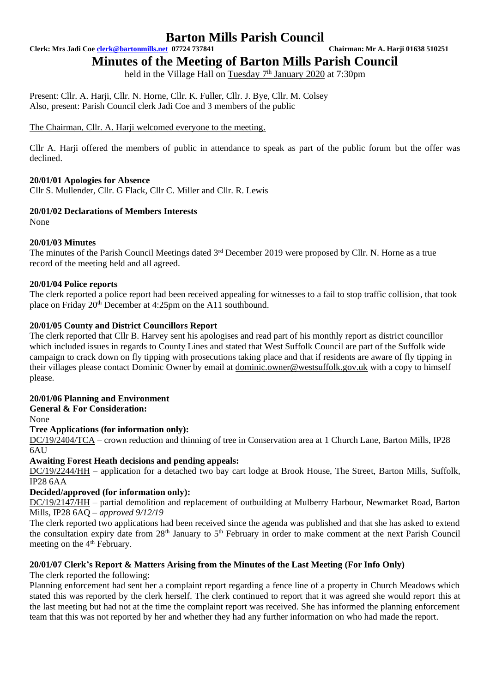**Clerk: Mrs Jadi Coe [clerk@bartonmills.net](mailto:clerk@bartonmills.net) 07724 737841 Chairman: Mr A. Harji 01638 510251**

**Minutes of the Meeting of Barton Mills Parish Council**

held in the Village Hall on Tuesday 7<sup>th</sup> January 2020 at 7:30pm

Present: Cllr. A. Harji, Cllr. N. Horne, Cllr. K. Fuller, Cllr. J. Bye, Cllr. M. Colsey Also, present: Parish Council clerk Jadi Coe and 3 members of the public

The Chairman, Cllr. A. Harii welcomed everyone to the meeting.

Cllr A. Harji offered the members of public in attendance to speak as part of the public forum but the offer was declined.

# **20/01/01 Apologies for Absence**

Cllr S. Mullender, Cllr. G Flack, Cllr C. Miller and Cllr. R. Lewis

### **20/01/02 Declarations of Members Interests**

None

### **20/01/03 Minutes**

The minutes of the Parish Council Meetings dated 3<sup>rd</sup> December 2019 were proposed by Cllr. N. Horne as a true record of the meeting held and all agreed.

### **20/01/04 Police reports**

The clerk reported a police report had been received appealing for witnesses to a fail to stop traffic collision, that took place on Friday 20th December at 4:25pm on the A11 southbound.

### **20/01/05 County and District Councillors Report**

The clerk reported that Cllr B. Harvey sent his apologises and read part of his monthly report as district councillor which included issues in regards to County Lines and stated that West Suffolk Council are part of the Suffolk wide campaign to crack down on fly tipping with prosecutions taking place and that if residents are aware of fly tipping in their villages please contact Dominic Owner by email at [dominic.owner@westsuffolk.gov.uk](mailto:dominic.owner@westsuffolk.gov.uk) with a copy to himself please.

#### **20/01/06 Planning and Environment**

#### **General & For Consideration:**

None

#### **Tree Applications (for information only):**

DC/19/2404/TCA – crown reduction and thinning of tree in Conservation area at 1 Church Lane, Barton Mills, IP28 6AU

#### **Awaiting Forest Heath decisions and pending appeals:**

DC/19/2244/HH – application for a detached two bay cart lodge at Brook House, The Street, Barton Mills, Suffolk, IP28 6AA

# **Decided/approved (for information only):**

DC/19/2147/HH – partial demolition and replacement of outbuilding at Mulberry Harbour, Newmarket Road, Barton Mills, IP28 6AQ – *approved 9/12/19*

The clerk reported two applications had been received since the agenda was published and that she has asked to extend the consultation expiry date from  $28<sup>th</sup>$  January to  $5<sup>th</sup>$  February in order to make comment at the next Parish Council meeting on the 4<sup>th</sup> February.

# **20/01/07 Clerk's Report & Matters Arising from the Minutes of the Last Meeting (For Info Only)**

The clerk reported the following:

Planning enforcement had sent her a complaint report regarding a fence line of a property in Church Meadows which stated this was reported by the clerk herself. The clerk continued to report that it was agreed she would report this at the last meeting but had not at the time the complaint report was received. She has informed the planning enforcement team that this was not reported by her and whether they had any further information on who had made the report.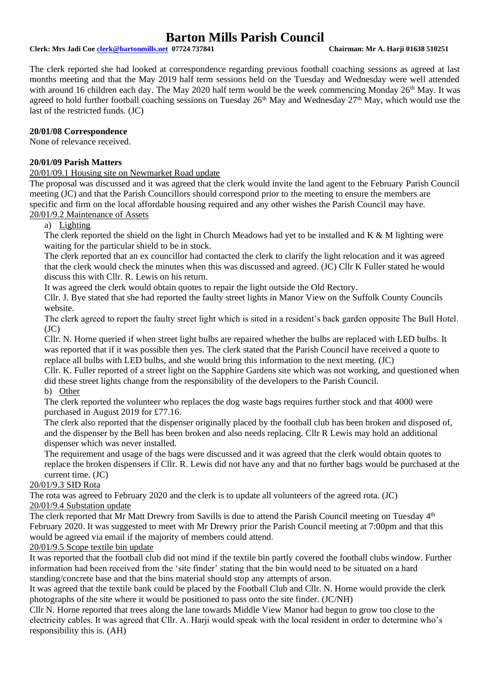**Clerk: Mrs Jadi Coe [clerk@bartonmills.net](mailto:clerk@bartonmills.net) 07724 737841 Chairman: Mr A. Harji 01638 510251**

The clerk reported she had looked at correspondence regarding previous football coaching sessions as agreed at last months meeting and that the May 2019 half term sessions held on the Tuesday and Wednesday were well attended with around 16 children each day. The May 2020 half term would be the week commencing Monday 26<sup>th</sup> May. It was agreed to hold further football coaching sessions on Tuesday 26<sup>th</sup> May and Wednesday 27<sup>th</sup> May, which would use the last of the restricted funds. (JC)

### **20/01/08 Correspondence**

None of relevance received.

### **20/01/09 Parish Matters**

### 20/01/09.1 Housing site on Newmarket Road update

The proposal was discussed and it was agreed that the clerk would invite the land agent to the February Parish Council meeting (JC) and that the Parish Councillors should correspond prior to the meeting to ensure the members are specific and firm on the local affordable housing required and any other wishes the Parish Council may have. 20/01/9.2 Maintenance of Assets

a) Lighting

The clerk reported the shield on the light in Church Meadows had yet to be installed and K & M lighting were waiting for the particular shield to be in stock.

The clerk reported that an ex councillor had contacted the clerk to clarify the light relocation and it was agreed that the clerk would check the minutes when this was discussed and agreed. (JC) Cllr K Fuller stated he would discuss this with Cllr. R. Lewis on his return.

It was agreed the clerk would obtain quotes to repair the light outside the Old Rectory.

Cllr. J. Bye stated that she had reported the faulty street lights in Manor View on the Suffolk County Councils website.

The clerk agreed to report the faulty street light which is sited in a resident's back garden opposite The Bull Hotel.  $(JC)$ 

Cllr. N. Horne queried if when street light bulbs are repaired whether the bulbs are replaced with LED bulbs. It was reported that if it was possible then yes. The clerk stated that the Parish Council have received a quote to replace all bulbs with LED bulbs, and she would bring this information to the next meeting. (JC)

Cllr. K. Fuller reported of a street light on the Sapphire Gardens site which was not working, and questioned when did these street lights change from the responsibility of the developers to the Parish Council. b) Other

The clerk reported the volunteer who replaces the dog waste bags requires further stock and that 4000 were purchased in August 2019 for £77.16.

The clerk also reported that the dispenser originally placed by the football club has been broken and disposed of, and the dispenser by the Bell has been broken and also needs replacing. Cllr R Lewis may hold an additional dispenser which was never installed.

The requirement and usage of the bags were discussed and it was agreed that the clerk would obtain quotes to replace the broken dispensers if Cllr. R. Lewis did not have any and that no further bags would be purchased at the current time. (JC)

#### 20/01/9.3 SID Rota

The rota was agreed to February 2020 and the clerk is to update all volunteers of the agreed rota. (JC) 20/01/9.4 Substation update

The clerk reported that Mr Matt Drewry from Savills is due to attend the Parish Council meeting on Tuesday 4th February 2020. It was suggested to meet with Mr Drewry prior the Parish Council meeting at 7:00pm and that this would be agreed via email if the majority of members could attend.

# 20/01/9.5 Scope textile bin update

It was reported that the football club did not mind if the textile bin partly covered the football clubs window. Further information had been received from the 'site finder' stating that the bin would need to be situated on a hard standing/concrete base and that the bins material should stop any attempts of arson.

It was agreed that the textile bank could be placed by the Football Club and Cllr. N. Horne would provide the clerk photographs of the site where it would be positioned to pass onto the site finder. (JC/NH)

Cllr N. Horne reported that trees along the lane towards Middle View Manor had begun to grow too close to the electricity cables. It was agreed that Cllr. A. Harji would speak with the local resident in order to determine who's responsibility this is. (AH)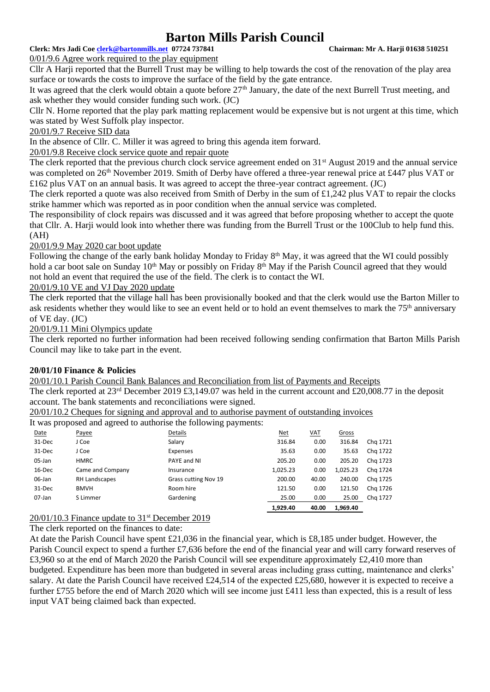# **Clerk: Mrs Jadi Coe [clerk@bartonmills.net](mailto:clerk@bartonmills.net) 07724 737841 Chairman: Mr A. Harji 01638 510251**

0/01/9.6 Agree work required to the play equipment

Cllr A Harji reported that the Burrell Trust may be willing to help towards the cost of the renovation of the play area surface or towards the costs to improve the surface of the field by the gate entrance.

It was agreed that the clerk would obtain a quote before  $27<sup>th</sup>$  January, the date of the next Burrell Trust meeting, and ask whether they would consider funding such work. (JC)

Cllr N. Horne reported that the play park matting replacement would be expensive but is not urgent at this time, which was stated by West Suffolk play inspector.

# 20/01/9.7 Receive SID data

In the absence of Cllr. C. Miller it was agreed to bring this agenda item forward.

20/01/9.8 Receive clock service quote and repair quote

The clerk reported that the previous church clock service agreement ended on 31<sup>st</sup> August 2019 and the annual service was completed on 26<sup>th</sup> November 2019. Smith of Derby have offered a three-year renewal price at £447 plus VAT or £162 plus VAT on an annual basis. It was agreed to accept the three-year contract agreement. (JC)

The clerk reported a quote was also received from Smith of Derby in the sum of £1,242 plus VAT to repair the clocks strike hammer which was reported as in poor condition when the annual service was completed.

The responsibility of clock repairs was discussed and it was agreed that before proposing whether to accept the quote that Cllr. A. Harji would look into whether there was funding from the Burrell Trust or the 100Club to help fund this. (AH)

### 20/01/9.9 May 2020 car boot update

Following the change of the early bank holiday Monday to Friday 8<sup>th</sup> May, it was agreed that the WI could possibly hold a car boot sale on Sunday 10<sup>th</sup> May or possibly on Friday 8<sup>th</sup> May if the Parish Council agreed that they would not hold an event that required the use of the field. The clerk is to contact the WI.

20/01/9.10 VE and VJ Day 2020 update

The clerk reported that the village hall has been provisionally booked and that the clerk would use the Barton Miller to ask residents whether they would like to see an event held or to hold an event themselves to mark the 75<sup>th</sup> anniversary of VE day. (JC)

20/01/9.11 Mini Olympics update

The clerk reported no further information had been received following sending confirmation that Barton Mills Parish Council may like to take part in the event.

# **20/01/10 Finance & Policies**

20/01/10.1 Parish Council Bank Balances and Reconciliation from list of Payments and Receipts The clerk reported at  $23^{rd}$  December 2019 £3,149.07 was held in the current account and £20,008.77 in the deposit account. The bank statements and reconciliations were signed.

20/01/10.2 Cheques for signing and approval and to authorise payment of outstanding invoices

It was proposed and agreed to authorise the following payments:

|        | $\overline{\phantom{0}}$ |                      | ັ້<br><u>.</u> |            |            |          |          |
|--------|--------------------------|----------------------|----------------|------------|------------|----------|----------|
| Date   | Payee                    | Details              |                | <u>Net</u> | <u>VAT</u> | Gross    |          |
| 31-Dec | J Coe                    | Salary               |                | 316.84     | 0.00       | 316.84   | Chg 1721 |
| 31-Dec | J Coe                    | Expenses             |                | 35.63      | 0.00       | 35.63    | Chg 1722 |
| 05-Jan | <b>HMRC</b>              | PAYE and NI          |                | 205.20     | 0.00       | 205.20   | Chg 1723 |
| 16-Dec | Came and Company         | Insurance            |                | 1,025.23   | 0.00       | 1,025.23 | Chg 1724 |
| 06-Jan | RH Landscapes            | Grass cutting Nov 19 |                | 200.00     | 40.00      | 240.00   | Chg 1725 |
| 31-Dec | <b>BMVH</b>              | Room hire            |                | 121.50     | 0.00       | 121.50   | Chg 1726 |
| 07-Jan | S Limmer                 | Gardening            |                | 25.00      | 0.00       | 25.00    | Chg 1727 |
|        |                          |                      |                | 1,929.40   | 40.00      | 1,969.40 |          |
|        |                          |                      |                |            |            |          |          |

20/01/10.3 Finance update to 31<sup>st</sup> December 2019

The clerk reported on the finances to date:

At date the Parish Council have spent £21,036 in the financial year, which is £8,185 under budget. However, the Parish Council expect to spend a further £7,636 before the end of the financial year and will carry forward reserves of £3,960 so at the end of March 2020 the Parish Council will see expenditure approximately £2,410 more than budgeted. Expenditure has been more than budgeted in several areas including grass cutting, maintenance and clerks' salary. At date the Parish Council have received £24,514 of the expected £25,680, however it is expected to receive a further £755 before the end of March 2020 which will see income just £411 less than expected, this is a result of less input VAT being claimed back than expected.